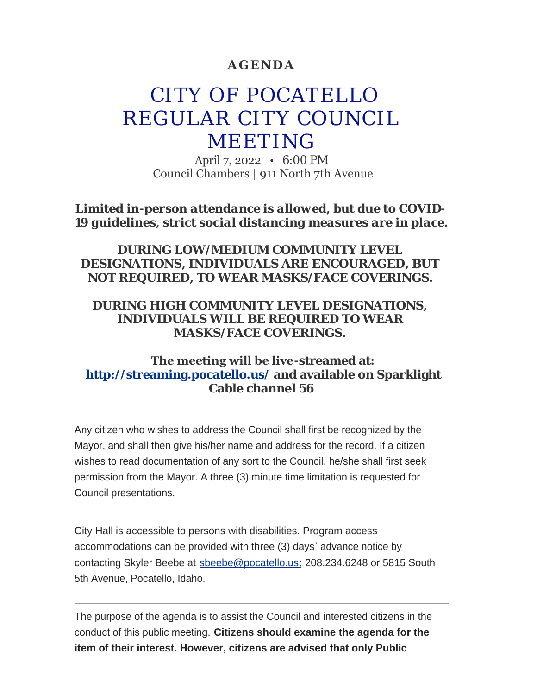### **AGENDA**

# CITY OF POCATELLO REGULAR CITY COUNCIL MEETING

April 7, 2022 • 6:00 PM Council Chambers | 911 North 7th Avenue

*Limited in-person attendance is allowed, but due to COVID-19 guidelines, strict social distancing measures are in place.*

### *DURING LOW/MEDIUM COMMUNITY LEVEL DESIGNATIONS, INDIVIDUALS ARE ENCOURAGED, BUT NOT REQUIRED, TO WEAR MASKS/FACE COVERINGS.*

### *DURING HIGH COMMUNITY LEVEL DESIGNATIONS, INDIVIDUALS WILL BE REQUIRED TO WEAR MASKS/FACE COVERINGS.*

### **The meeting will be live-streamed at: <http://streaming.pocatello.us/> and available on Sparklight Cable channel 56**

Any citizen who wishes to address the Council shall first be recognized by the Mayor, and shall then give his/her name and address for the record. If a citizen wishes to read documentation of any sort to the Council, he/she shall first seek permission from the Mayor. A three (3) minute time limitation is requested for Council presentations.

City Hall is accessible to persons with disabilities. Program access accommodations can be provided with three (3) days' advance notice by contacting Skyler Beebe at [sbeebe@pocatello.us;](mailto:sbeebe@pocatello.us) 208.234.6248 or 5815 South 5th Avenue, Pocatello, Idaho.

The purpose of the agenda is to assist the Council and interested citizens in the conduct of this public meeting. **Citizens should examine the agenda for the item of their interest. However, citizens are advised that only Public**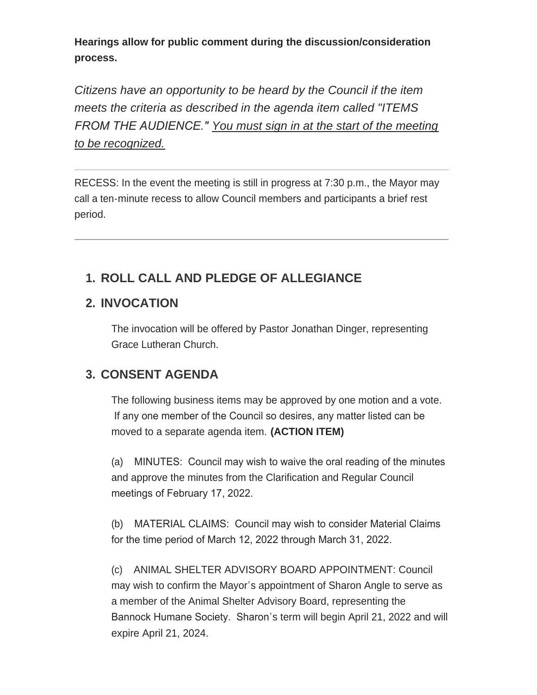**Hearings allow for public comment during the discussion/consideration process.**

*Citizens have an opportunity to be heard by the Council if the item meets the criteria as described in the agenda item called "ITEMS FROM THE AUDIENCE." You must sign in at the start of the meeting to be recognized.*

RECESS: In the event the meeting is still in progress at 7:30 p.m., the Mayor may call a ten-minute recess to allow Council members and participants a brief rest period.

# **ROLL CALL AND PLEDGE OF ALLEGIANCE 1.**

# **INVOCATION 2.**

The invocation will be offered by Pastor Jonathan Dinger, representing Grace Lutheran Church.

# **CONSENT AGENDA 3.**

The following business items may be approved by one motion and a vote. If any one member of the Council so desires, any matter listed can be moved to a separate agenda item. **(ACTION ITEM)**

(a) MINUTES: Council may wish to waive the oral reading of the minutes and approve the minutes from the Clarification and Regular Council meetings of February 17, 2022.

(b) MATERIAL CLAIMS: Council may wish to consider Material Claims for the time period of March 12, 2022 through March 31, 2022.

(c) ANIMAL SHELTER ADVISORY BOARD APPOINTMENT: Council may wish to confirm the Mayor's appointment of Sharon Angle to serve as a member of the Animal Shelter Advisory Board, representing the Bannock Humane Society. Sharon's term will begin April 21, 2022 and will expire April 21, 2024.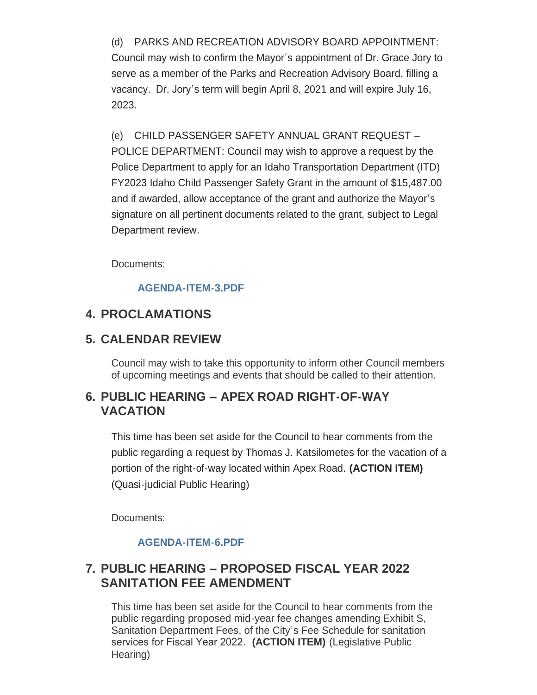(d) PARKS AND RECREATION ADVISORY BOARD APPOINTMENT: Council may wish to confirm the Mayor's appointment of Dr. Grace Jory to serve as a member of the Parks and Recreation Advisory Board, filling a vacancy. Dr. Jory's term will begin April 8, 2021 and will expire July 16, 2023.

(e) CHILD PASSENGER SAFETY ANNUAL GRANT REQUEST – POLICE DEPARTMENT: Council may wish to approve a request by the Police Department to apply for an Idaho Transportation Department (ITD) FY2023 Idaho Child Passenger Safety Grant in the amount of \$15,487.00 and if awarded, allow acceptance of the grant and authorize the Mayor's signature on all pertinent documents related to the grant, subject to Legal Department review.

Documents:

#### **[AGENDA-ITEM-3.PDF](https://www.pocatello.us/AgendaCenter/ViewFile/Item/3294?fileID=10677)**

# **PROCLAMATIONS 4.**

# **CALENDAR REVIEW 5.**

Council may wish to take this opportunity to inform other Council members of upcoming meetings and events that should be called to their attention.

### **PUBLIC HEARING – APEX ROAD RIGHT-OF-WAY 6. VACATION**

This time has been set aside for the Council to hear comments from the public regarding a request by Thomas J. Katsilometes for the vacation of a portion of the right-of-way located within Apex Road. **(ACTION ITEM)** (Quasi-judicial Public Hearing)

Documents:

#### **[AGENDA-ITEM-6.PDF](https://www.pocatello.us/AgendaCenter/ViewFile/Item/3295?fileID=10678)**

# **PUBLIC HEARING – PROPOSED FISCAL YEAR 2022 7. SANITATION FEE AMENDMENT**

This time has been set aside for the Council to hear comments from the public regarding proposed mid-year fee changes amending Exhibit S, Sanitation Department Fees, of the City's Fee Schedule for sanitation services for Fiscal Year 2022. **(ACTION ITEM)** (Legislative Public Hearing)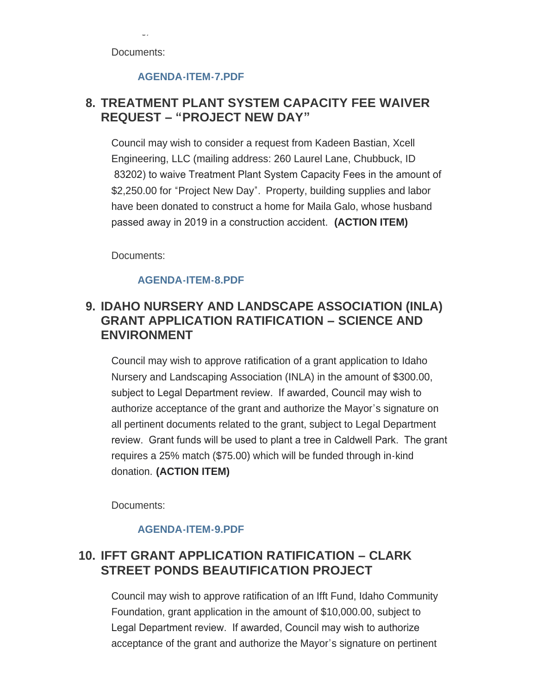Documents:

Hearing)

#### **[AGENDA-ITEM-7.PDF](https://www.pocatello.us/AgendaCenter/ViewFile/Item/3298?fileID=10679)**

### **TREATMENT PLANT SYSTEM CAPACITY FEE WAIVER 8. REQUEST – "PROJECT NEW DAY"**

Council may wish to consider a request from Kadeen Bastian, Xcell Engineering, LLC (mailing address: 260 Laurel Lane, Chubbuck, ID 83202) to waive Treatment Plant System Capacity Fees in the amount of \$2,250.00 for "Project New Day". Property, building supplies and labor have been donated to construct a home for Maila Galo, whose husband passed away in 2019 in a construction accident. **(ACTION ITEM)**

Documents:

#### **[AGENDA-ITEM-8.PDF](https://www.pocatello.us/AgendaCenter/ViewFile/Item/3299?fileID=10680)**

# **IDAHO NURSERY AND LANDSCAPE ASSOCIATION (INLA) 9. GRANT APPLICATION RATIFICATION – SCIENCE AND ENVIRONMENT**

Council may wish to approve ratification of a grant application to Idaho Nursery and Landscaping Association (INLA) in the amount of \$300.00, subject to Legal Department review. If awarded, Council may wish to authorize acceptance of the grant and authorize the Mayor's signature on all pertinent documents related to the grant, subject to Legal Department review. Grant funds will be used to plant a tree in Caldwell Park. The grant requires a 25% match (\$75.00) which will be funded through in-kind donation. **(ACTION ITEM)**

Documents:

#### **[AGENDA-ITEM-9.PDF](https://www.pocatello.us/AgendaCenter/ViewFile/Item/3300?fileID=10681)**

# **IFFT GRANT APPLICATION RATIFICATION – CLARK 10. STREET PONDS BEAUTIFICATION PROJECT**

Council may wish to approve ratification of an Ifft Fund, Idaho Community Foundation, grant application in the amount of \$10,000.00, subject to Legal Department review. If awarded, Council may wish to authorize acceptance of the grant and authorize the Mayor's signature on pertinent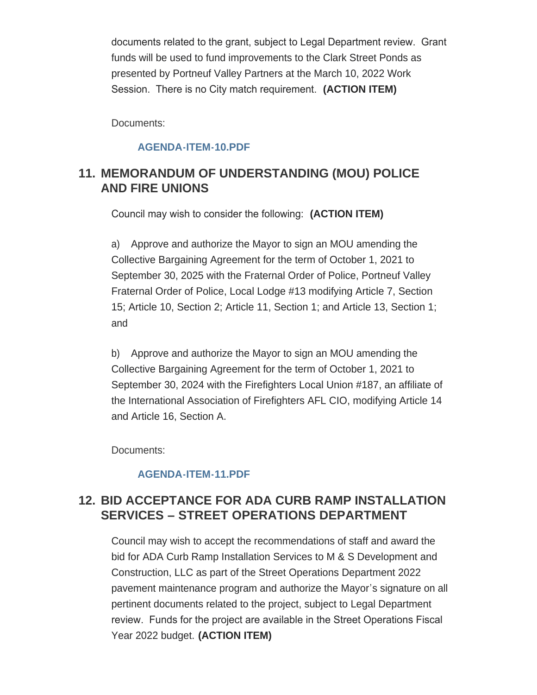documents related to the grant, subject to Legal Department review. Grant funds will be used to fund improvements to the Clark Street Ponds as presented by Portneuf Valley Partners at the March 10, 2022 Work Session. There is no City match requirement. **(ACTION ITEM)**

Documents:

#### **[AGENDA-ITEM-10.PDF](https://www.pocatello.us/AgendaCenter/ViewFile/Item/3301?fileID=10682)**

# **MEMORANDUM OF UNDERSTANDING (MOU) POLICE 11. AND FIRE UNIONS**

Council may wish to consider the following: **(ACTION ITEM)**

a) Approve and authorize the Mayor to sign an MOU amending the Collective Bargaining Agreement for the term of October 1, 2021 to September 30, 2025 with the Fraternal Order of Police, Portneuf Valley Fraternal Order of Police, Local Lodge #13 modifying Article 7, Section 15; Article 10, Section 2; Article 11, Section 1; and Article 13, Section 1; and

b) Approve and authorize the Mayor to sign an MOU amending the Collective Bargaining Agreement for the term of October 1, 2021 to September 30, 2024 with the Firefighters Local Union #187, an affiliate of the International Association of Firefighters AFL CIO, modifying Article 14 and Article 16, Section A.

Documents:

### **[AGENDA-ITEM-11.PDF](https://www.pocatello.us/AgendaCenter/ViewFile/Item/3302?fileID=10683)**

# **BID ACCEPTANCE FOR ADA CURB RAMP INSTALLATION 12. SERVICES – STREET OPERATIONS DEPARTMENT**

Council may wish to accept the recommendations of staff and award the bid for ADA Curb Ramp Installation Services to M & S Development and Construction, LLC as part of the Street Operations Department 2022 pavement maintenance program and authorize the Mayor's signature on all pertinent documents related to the project, subject to Legal Department review. Funds for the project are available in the Street Operations Fiscal Year 2022 budget. **(ACTION ITEM)**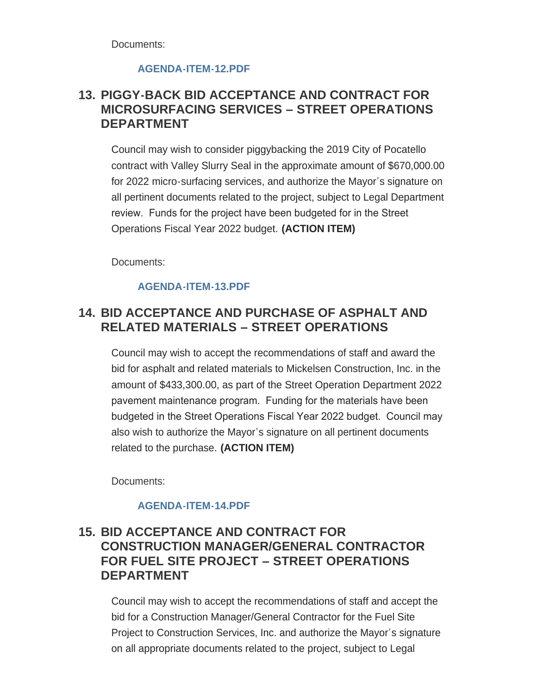Documents:

#### **[AGENDA-ITEM-12.PDF](https://www.pocatello.us/AgendaCenter/ViewFile/Item/3303?fileID=10684)**

# **PIGGY-BACK BID ACCEPTANCE AND CONTRACT FOR 13. MICROSURFACING SERVICES – STREET OPERATIONS DEPARTMENT**

Council may wish to consider piggybacking the 2019 City of Pocatello contract with Valley Slurry Seal in the approximate amount of \$670,000.00 for 2022 micro-surfacing services, and authorize the Mayor's signature on all pertinent documents related to the project, subject to Legal Department review. Funds for the project have been budgeted for in the Street Operations Fiscal Year 2022 budget. **(ACTION ITEM)**

Documents:

#### **[AGENDA-ITEM-13.PDF](https://www.pocatello.us/AgendaCenter/ViewFile/Item/3304?fileID=10685)**

# **BID ACCEPTANCE AND PURCHASE OF ASPHALT AND 14. RELATED MATERIALS – STREET OPERATIONS**

Council may wish to accept the recommendations of staff and award the bid for asphalt and related materials to Mickelsen Construction, Inc. in the amount of \$433,300.00, as part of the Street Operation Department 2022 pavement maintenance program. Funding for the materials have been budgeted in the Street Operations Fiscal Year 2022 budget. Council may also wish to authorize the Mayor's signature on all pertinent documents related to the purchase. **(ACTION ITEM)**

Documents:

#### **[AGENDA-ITEM-14.PDF](https://www.pocatello.us/AgendaCenter/ViewFile/Item/3305?fileID=10686)**

# **BID ACCEPTANCE AND CONTRACT FOR 15. CONSTRUCTION MANAGER/GENERAL CONTRACTOR FOR FUEL SITE PROJECT – STREET OPERATIONS DEPARTMENT**

Council may wish to accept the recommendations of staff and accept the bid for a Construction Manager/General Contractor for the Fuel Site Project to Construction Services, Inc. and authorize the Mayor's signature on all appropriate documents related to the project, subject to Legal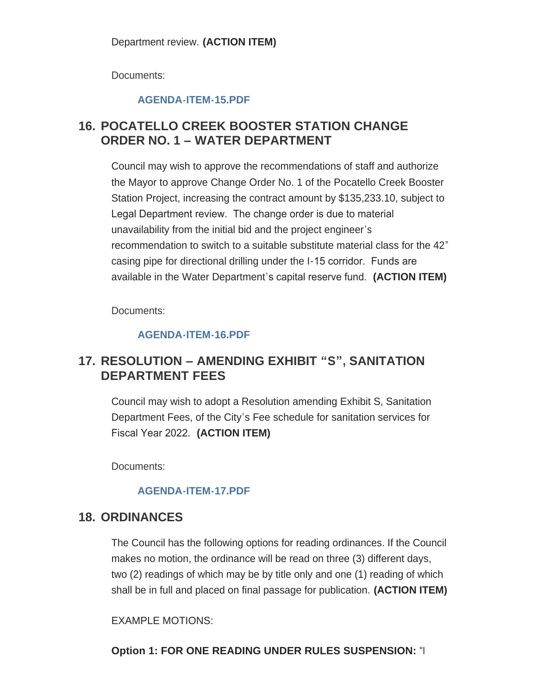Documents:

#### **[AGENDA-ITEM-15.PDF](https://www.pocatello.us/AgendaCenter/ViewFile/Item/3306?fileID=10687)**

# **POCATELLO CREEK BOOSTER STATION CHANGE 16. ORDER NO. 1 – WATER DEPARTMENT**

Council may wish to approve the recommendations of staff and authorize the Mayor to approve Change Order No. 1 of the Pocatello Creek Booster Station Project, increasing the contract amount by \$135,233.10, subject to Legal Department review. The change order is due to material unavailability from the initial bid and the project engineer's recommendation to switch to a suitable substitute material class for the 42" casing pipe for directional drilling under the I-15 corridor. Funds are available in the Water Department's capital reserve fund. **(ACTION ITEM)**

Documents:

### **[AGENDA-ITEM-16.PDF](https://www.pocatello.us/AgendaCenter/ViewFile/Item/3307?fileID=10688)**

# **RESOLUTION – AMENDING EXHIBIT "S" , SANITATION 17. DEPARTMENT FEES**

Council may wish to adopt a Resolution amending Exhibit S, Sanitation Department Fees, of the City's Fee schedule for sanitation services for Fiscal Year 2022. **(ACTION ITEM)**

Documents:

### **[AGENDA-ITEM-17.PDF](https://www.pocatello.us/AgendaCenter/ViewFile/Item/3308?fileID=10689)**

# 18. ORDINANCES

The Council has the following options for reading ordinances. If the Council makes no motion, the ordinance will be read on three (3) different days, two (2) readings of which may be by title only and one (1) reading of which shall be in full and placed on final passage for publication. **(ACTION ITEM)**

EXAMPLE MOTIONS:

**Option 1: FOR ONE READING UNDER RULES SUSPENSION:** "I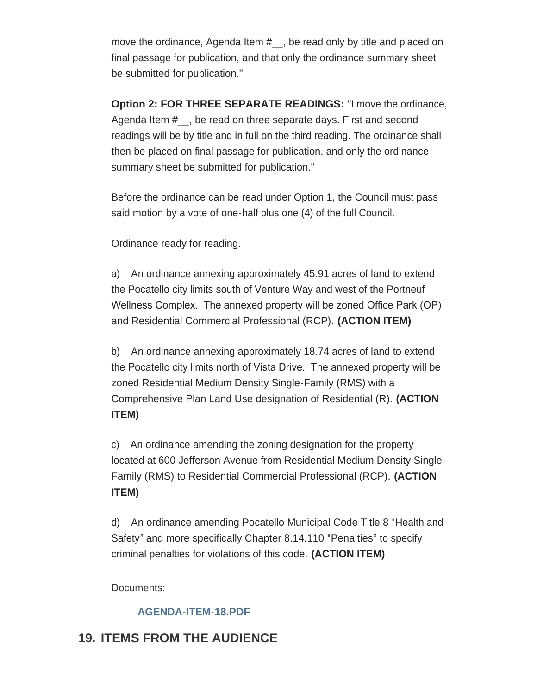move the ordinance, Agenda Item #\_\_, be read only by title and placed on final passage for publication, and that only the ordinance summary sheet be submitted for publication."

**Option 2: FOR THREE SEPARATE READINGS:** "I move the ordinance, Agenda Item #\_\_, be read on three separate days. First and second readings will be by title and in full on the third reading. The ordinance shall then be placed on final passage for publication, and only the ordinance summary sheet be submitted for publication."

Before the ordinance can be read under Option 1, the Council must pass said motion by a vote of one-half plus one (4) of the full Council.

Ordinance ready for reading.

a) An ordinance annexing approximately 45.91 acres of land to extend the Pocatello city limits south of Venture Way and west of the Portneuf Wellness Complex. The annexed property will be zoned Office Park (OP) and Residential Commercial Professional (RCP). **(ACTION ITEM)**

b) An ordinance annexing approximately 18.74 acres of land to extend the Pocatello city limits north of Vista Drive. The annexed property will be zoned Residential Medium Density Single-Family (RMS) with a Comprehensive Plan Land Use designation of Residential (R). **(ACTION ITEM)**

c) An ordinance amending the zoning designation for the property located at 600 Jefferson Avenue from Residential Medium Density Single-Family (RMS) to Residential Commercial Professional (RCP). **(ACTION ITEM)**

d) An ordinance amending Pocatello Municipal Code Title 8 "Health and Safety" and more specifically Chapter 8.14.110 "Penalties" to specify criminal penalties for violations of this code. **(ACTION ITEM)**

Documents:

### **[AGENDA-ITEM-18.PDF](https://www.pocatello.us/AgendaCenter/ViewFile/Item/3309?fileID=10690)**

# **19. ITEMS FROM THE AUDIENCE**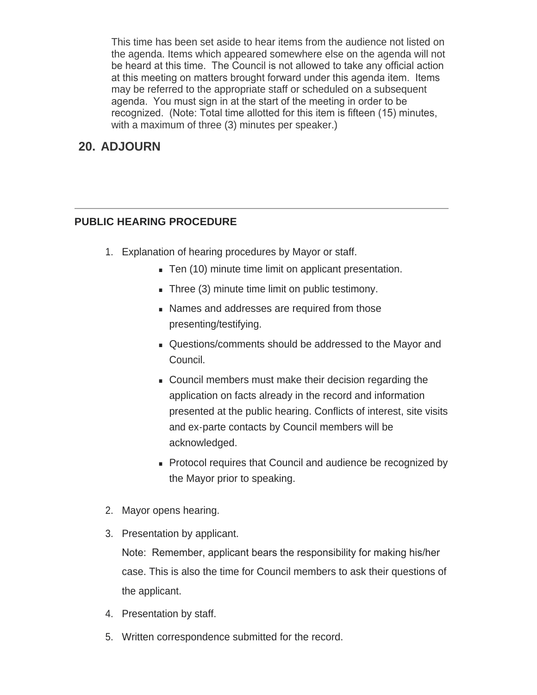This time has been set aside to hear items from the audience not listed on the agenda. Items which appeared somewhere else on the agenda will not be heard at this time. The Council is not allowed to take any official action at this meeting on matters brought forward under this agenda item. Items may be referred to the appropriate staff or scheduled on a subsequent agenda. You must sign in at the start of the meeting in order to be recognized. (Note: Total time allotted for this item is fifteen (15) minutes, with a maximum of three (3) minutes per speaker.)

# **ADJOURN 20.**

#### **PUBLIC HEARING PROCEDURE**

- 1. Explanation of hearing procedures by Mayor or staff.
	- Ten (10) minute time limit on applicant presentation.
	- $\blacksquare$  Three (3) minute time limit on public testimony.
	- Names and addresses are required from those presenting/testifying.
	- Questions/comments should be addressed to the Mayor and Council.
	- <sup>n</sup> Council members must make their decision regarding the application on facts already in the record and information presented at the public hearing. Conflicts of interest, site visits and ex-parte contacts by Council members will be acknowledged.
	- Protocol requires that Council and audience be recognized by the Mayor prior to speaking.
- 2. Mayor opens hearing.
- 3. Presentation by applicant.

Note: Remember, applicant bears the responsibility for making his/her case. This is also the time for Council members to ask their questions of the applicant.

- 4. Presentation by staff.
- 5. Written correspondence submitted for the record.